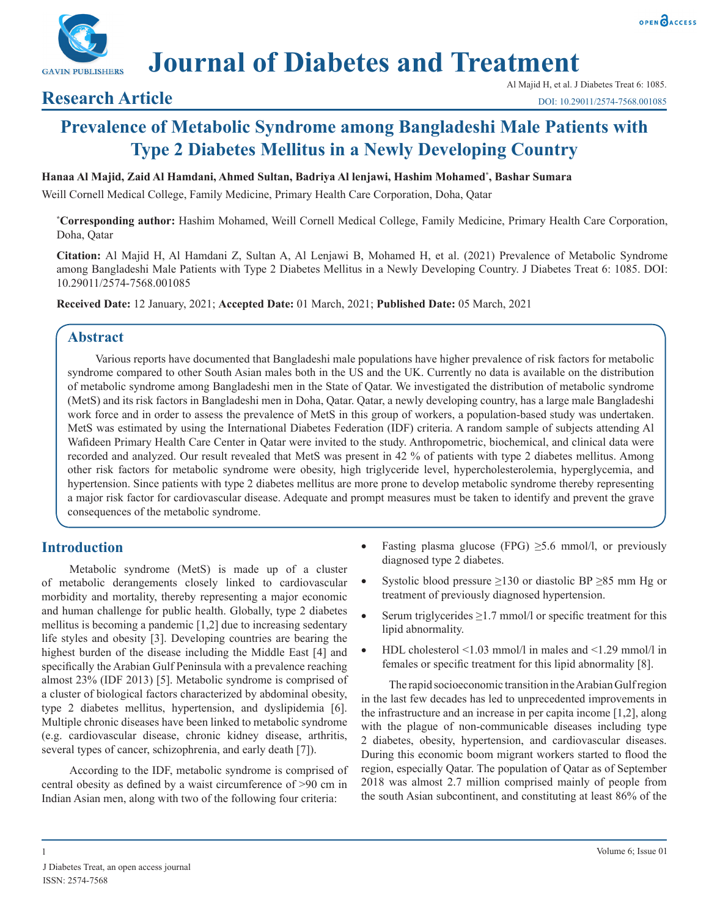



**Journal of Diabetes and Treatment**

## **Research Article**

# **Prevalence of Metabolic Syndrome among Bangladeshi Male Patients with Type 2 Diabetes Mellitus in a Newly Developing Country**

#### **Hanaa Al Majid, Zaid Al Hamdani, Ahmed Sultan, Badriya Al lenjawi, Hashim Mohamed\* , Bashar Sumara**

Weill Cornell Medical College, Family Medicine, Primary Health Care Corporation, Doha, Qatar

**\* Corresponding author:** Hashim Mohamed, Weill Cornell Medical College, Family Medicine, Primary Health Care Corporation, Doha, Qatar

**Citation:** Al Majid H, Al Hamdani Z, Sultan A, Al Lenjawi B, Mohamed H, et al. (2021) Prevalence of Metabolic Syndrome among Bangladeshi Male Patients with Type 2 Diabetes Mellitus in a Newly Developing Country. J Diabetes Treat 6: 1085. DOI: 10.29011/2574-7568.001085

**Received Date:** 12 January, 2021; **Accepted Date:** 01 March, 2021; **Published Date:** 05 March, 2021

#### **Abstract**

Various reports have documented that Bangladeshi male populations have higher prevalence of risk factors for metabolic syndrome compared to other South Asian males both in the US and the UK. Currently no data is available on the distribution of metabolic syndrome among Bangladeshi men in the State of Qatar. We investigated the distribution of metabolic syndrome (MetS) and its risk factors in Bangladeshi men in Doha, Qatar. Qatar, a newly developing country, has a large male Bangladeshi work force and in order to assess the prevalence of MetS in this group of workers, a population-based study was undertaken. MetS was estimated by using the International Diabetes Federation (IDF) criteria. A random sample of subjects attending Al Wafideen Primary Health Care Center in Qatar were invited to the study. Anthropometric, biochemical, and clinical data were recorded and analyzed. Our result revealed that MetS was present in 42 % of patients with type 2 diabetes mellitus. Among other risk factors for metabolic syndrome were obesity, high triglyceride level, hypercholesterolemia, hyperglycemia, and hypertension. Since patients with type 2 diabetes mellitus are more prone to develop metabolic syndrome thereby representing a major risk factor for cardiovascular disease. Adequate and prompt measures must be taken to identify and prevent the grave consequences of the metabolic syndrome.

## **Introduction**

Metabolic syndrome (MetS) is made up of a cluster of metabolic derangements closely linked to cardiovascular morbidity and mortality, thereby representing a major economic and human challenge for public health. Globally, type 2 diabetes mellitus is becoming a pandemic [1,2] due to increasing sedentary life styles and obesity [3]. Developing countries are bearing the highest burden of the disease including the Middle East [4] and specifically the Arabian Gulf Peninsula with a prevalence reaching almost 23% (IDF 2013) [5]. Metabolic syndrome is comprised of a cluster of biological factors characterized by abdominal obesity, type 2 diabetes mellitus, hypertension, and dyslipidemia [6]. Multiple chronic diseases have been linked to metabolic syndrome (e.g. cardiovascular disease, chronic kidney disease, arthritis, several types of cancer, schizophrenia, and early death [7]).

According to the IDF, metabolic syndrome is comprised of central obesity as defined by a waist circumference of >90 cm in Indian Asian men, along with two of the following four criteria:

- Fasting plasma glucose (FPG)  $\geq$ 5.6 mmol/l, or previously diagnosed type 2 diabetes.
- Systolic blood pressure  $\geq$ 130 or diastolic BP  $\geq$ 85 mm Hg or treatment of previously diagnosed hypertension.
- Serum triglycerides  $\geq$ 1.7 mmol/l or specific treatment for this lipid abnormality.
- HDL cholesterol  $\leq$  1.03 mmol/l in males and  $\leq$  1.29 mmol/l in females or specific treatment for this lipid abnormality [8].

The rapid socioeconomic transition in the Arabian Gulf region in the last few decades has led to unprecedented improvements in the infrastructure and an increase in per capita income [1,2], along with the plague of non-communicable diseases including type 2 diabetes, obesity, hypertension, and cardiovascular diseases. During this economic boom migrant workers started to flood the region, especially Qatar. The population of Qatar as of September 2018 was almost 2.7 million comprised mainly of people from the south Asian subcontinent, and constituting at least 86% of the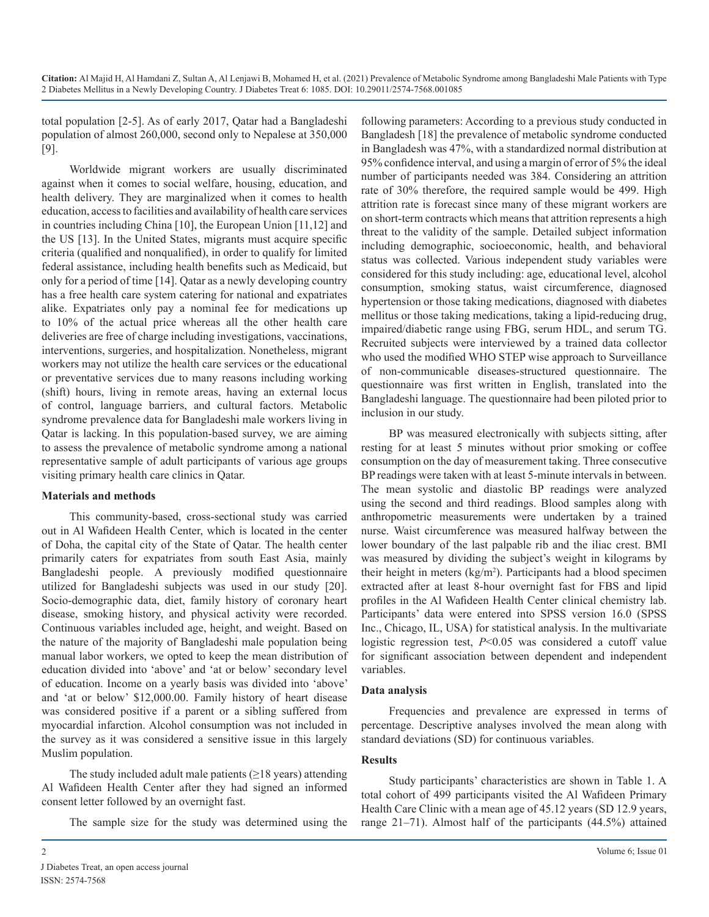total population [2-5]. As of early 2017, Qatar had a Bangladeshi population of almost 260,000, second only to Nepalese at 350,000 [9].

Worldwide migrant workers are usually discriminated against when it comes to social welfare, housing, education, and health delivery. They are marginalized when it comes to health education, access to facilities and availability of health care services in countries including China [10], the European Union [11,12] and the US [13]. In the United States, migrants must acquire specific criteria (qualified and nonqualified), in order to qualify for limited federal assistance, including health benefits such as Medicaid, but only for a period of time [14]. Qatar as a newly developing country has a free health care system catering for national and expatriates alike. Expatriates only pay a nominal fee for medications up to 10% of the actual price whereas all the other health care deliveries are free of charge including investigations, vaccinations, interventions, surgeries, and hospitalization. Nonetheless, migrant workers may not utilize the health care services or the educational or preventative services due to many reasons including working (shift) hours, living in remote areas, having an external locus of control, language barriers, and cultural factors. Metabolic syndrome prevalence data for Bangladeshi male workers living in Qatar is lacking. In this population-based survey, we are aiming to assess the prevalence of metabolic syndrome among a national representative sample of adult participants of various age groups visiting primary health care clinics in Qatar.

#### **Materials and methods**

This community-based, cross-sectional study was carried out in Al Wafideen Health Center, which is located in the center of Doha, the capital city of the State of Qatar. The health center primarily caters for expatriates from south East Asia, mainly Bangladeshi people. A previously modified questionnaire utilized for Bangladeshi subjects was used in our study [20]. Socio-demographic data, diet, family history of coronary heart disease, smoking history, and physical activity were recorded. Continuous variables included age, height, and weight. Based on the nature of the majority of Bangladeshi male population being manual labor workers, we opted to keep the mean distribution of education divided into 'above' and 'at or below' secondary level of education. Income on a yearly basis was divided into 'above' and 'at or below' \$12,000.00. Family history of heart disease was considered positive if a parent or a sibling suffered from myocardial infarction. Alcohol consumption was not included in the survey as it was considered a sensitive issue in this largely Muslim population.

The study included adult male patients  $(\geq 18$  years) attending Al Wafideen Health Center after they had signed an informed consent letter followed by an overnight fast.

The sample size for the study was determined using the

following parameters: According to a previous study conducted in Bangladesh [18] the prevalence of metabolic syndrome conducted in Bangladesh was 47%, with a standardized normal distribution at 95% confidence interval, and using a margin of error of 5% the ideal number of participants needed was 384. Considering an attrition rate of 30% therefore, the required sample would be 499. High attrition rate is forecast since many of these migrant workers are on short-term contracts which means that attrition represents a high threat to the validity of the sample. Detailed subject information including demographic, socioeconomic, health, and behavioral status was collected. Various independent study variables were considered for this study including: age, educational level, alcohol consumption, smoking status, waist circumference, diagnosed hypertension or those taking medications, diagnosed with diabetes mellitus or those taking medications, taking a lipid-reducing drug, impaired/diabetic range using FBG, serum HDL, and serum TG. Recruited subjects were interviewed by a trained data collector who used the modified WHO STEP wise approach to Surveillance of non-communicable diseases-structured questionnaire. The questionnaire was first written in English, translated into the Bangladeshi language. The questionnaire had been piloted prior to inclusion in our study.

BP was measured electronically with subjects sitting, after resting for at least 5 minutes without prior smoking or coffee consumption on the day of measurement taking. Three consecutive BP readings were taken with at least 5-minute intervals in between. The mean systolic and diastolic BP readings were analyzed using the second and third readings. Blood samples along with anthropometric measurements were undertaken by a trained nurse. Waist circumference was measured halfway between the lower boundary of the last palpable rib and the iliac crest. BMI was measured by dividing the subject's weight in kilograms by their height in meters  $(kg/m<sup>2</sup>)$ . Participants had a blood specimen extracted after at least 8-hour overnight fast for FBS and lipid profiles in the Al Wafideen Health Center clinical chemistry lab. Participants' data were entered into SPSS version 16.0 (SPSS Inc., Chicago, IL, USA) for statistical analysis. In the multivariate logistic regression test, *P*<0.05 was considered a cutoff value for significant association between dependent and independent variables.

#### **Data analysis**

Frequencies and prevalence are expressed in terms of percentage. Descriptive analyses involved the mean along with standard deviations (SD) for continuous variables.

#### **Results**

Study participants' characteristics are shown in Table 1. A total cohort of 499 participants visited the Al Wafideen Primary Health Care Clinic with a mean age of 45.12 years (SD 12.9 years, range 21–71). Almost half of the participants (44.5%) attained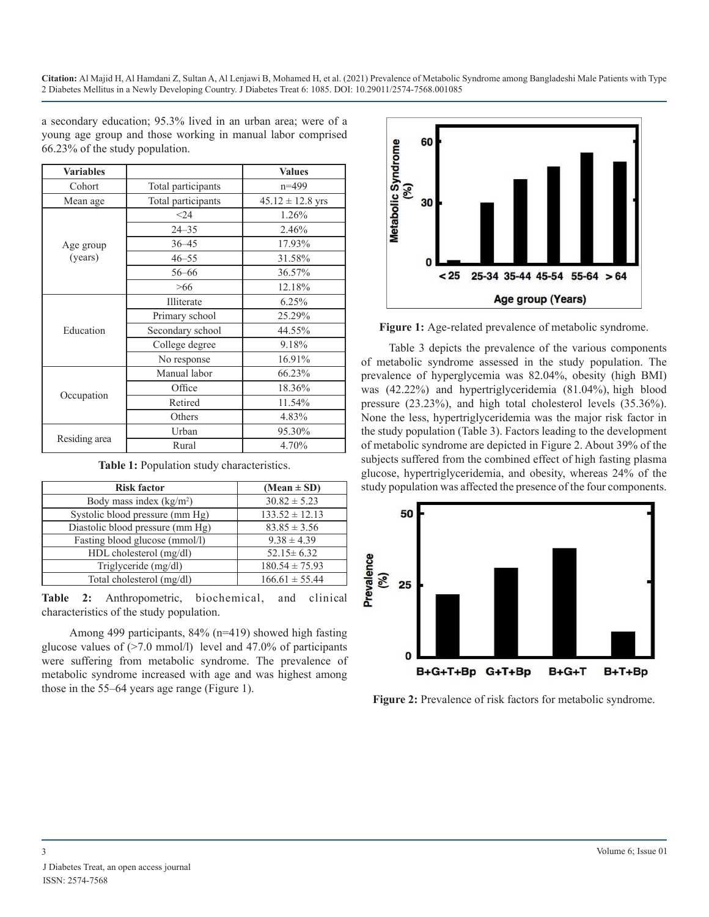**Citation:** Al Majid H, Al Hamdani Z, Sultan A, Al Lenjawi B, Mohamed H, et al. (2021) Prevalence of Metabolic Syndrome among Bangladeshi Male Patients with Type 2 Diabetes Mellitus in a Newly Developing Country. J Diabetes Treat 6: 1085. DOI: 10.29011/2574-7568.001085

a secondary education; 95.3% lived in an urban area; were of a young age group and those working in manual labor comprised 66.23% of the study population.

| <b>Variables</b>     |                    | <b>Values</b>        |
|----------------------|--------------------|----------------------|
| Cohort               | Total participants | $n=499$              |
| Mean age             | Total participants | $45.12 \pm 12.8$ yrs |
| Age group<br>(years) | $24$               | 1.26%                |
|                      | $24 - 35$          | 2.46%                |
|                      | $36 - 45$          | 17.93%               |
|                      | $46 - 55$          | 31.58%               |
|                      | $56 - 66$          | 36.57%               |
|                      | >66                | 12.18%               |
| Education            | Illiterate         | 6.25%                |
|                      | Primary school     | 25.29%               |
|                      | Secondary school   | 44.55%               |
|                      | College degree     | 9.18%                |
|                      | No response        | 16.91%               |
| Occupation           | Manual labor       | 66.23%               |
|                      | Office             | 18.36%               |
|                      | Retired            | 11.54%               |
|                      | Others             | 4.83%                |
| Residing area        | Urban              | 95.30%               |
|                      | Rural              | 4.70%                |

| Table 1: Population study characteristics. |  |
|--------------------------------------------|--|
|--------------------------------------------|--|

| <b>Risk factor</b>               | $(Mean \pm SD)$    |
|----------------------------------|--------------------|
| Body mass index $(kg/m2)$        | $30.82 \pm 5.23$   |
| Systolic blood pressure (mm Hg)  | $133.52 \pm 12.13$ |
| Diastolic blood pressure (mm Hg) | $83.85 \pm 3.56$   |
| Fasting blood glucose (mmol/l)   | $9.38 \pm 4.39$    |
| HDL cholesterol (mg/dl)          | $52.15 \pm 6.32$   |
| Triglyceride (mg/dl)             | $180.54 \pm 75.93$ |
| Total cholesterol (mg/dl)        | $166.61 \pm 55.44$ |

**Table 2:** Anthropometric, biochemical, and clinical characteristics of the study population.

Among 499 participants, 84% (n=419) showed high fasting glucose values of  $(27.0 \text{ mmol/l})$  level and 47.0% of participants were suffering from metabolic syndrome. The prevalence of metabolic syndrome increased with age and was highest among those in the 55–64 years age range (Figure 1).



Figure 1: Age-related prevalence of metabolic syndrome.

Table 3 depicts the prevalence of the various components of metabolic syndrome assessed in the study population. The prevalence of hyperglycemia was 82.04%, obesity (high BMI) was (42.22%) and hypertriglyceridemia (81.04%), high blood pressure (23.23%), and high total cholesterol levels (35.36%). None the less, hypertriglyceridemia was the major risk factor in the study population (Table 3). Factors leading to the development of metabolic syndrome are depicted in Figure 2. About 39% of the subjects suffered from the combined effect of high fasting plasma glucose, hypertriglyceridemia, and obesity, whereas 24% of the study population was affected the presence of the four components.



Figure 2: Prevalence of risk factors for metabolic syndrome.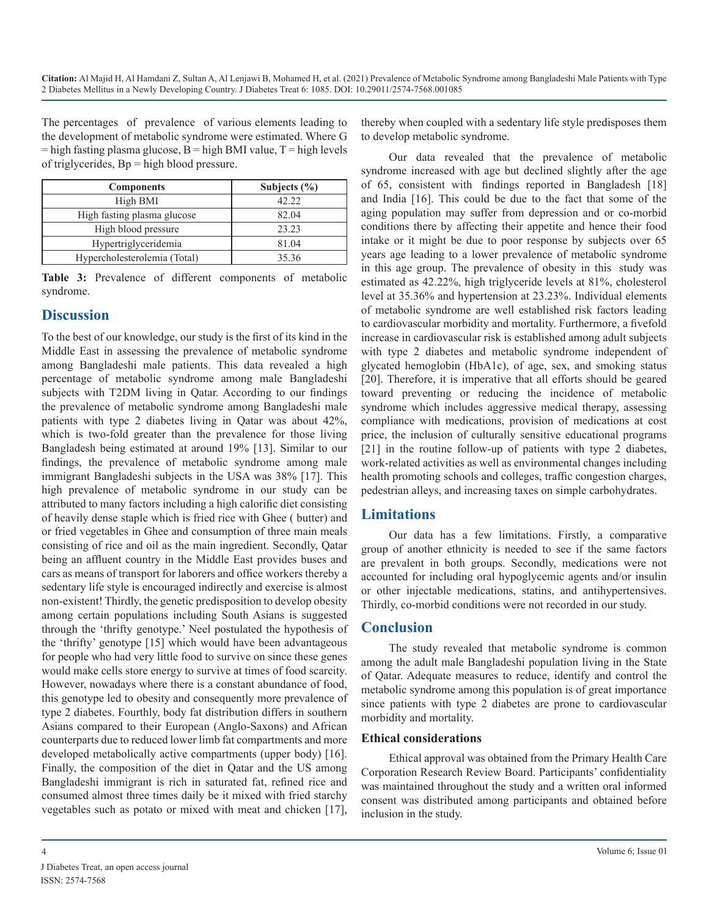The percentages of prevalence of various elements leading to the development of metabolic syndrome were estimated. Where G  $=$  high fasting plasma glucose, B  $=$  high BMI value, T  $=$  high levels of triglycerides, Bp = high blood pressure.

| <b>Components</b>            | Subjects $(\% )$ |
|------------------------------|------------------|
| High BMI                     | 42.22            |
| High fasting plasma glucose  | 82.04            |
| High blood pressure          | 23.23            |
| Hypertriglyceridemia         | 81.04            |
| Hypercholesterolemia (Total) | 35.36            |

**Table 3:** Prevalence of different components of metabolic syndrome.

## **Discussion**

To the best of our knowledge, our study is the first of its kind in the Middle East in assessing the prevalence of metabolic syndrome among Bangladeshi male patients. This data revealed a high percentage of metabolic syndrome among male Bangladeshi subjects with T2DM living in Qatar. According to our findings the prevalence of metabolic syndrome among Bangladeshi male patients with type 2 diabetes living in Qatar was about 42%, which is two-fold greater than the prevalence for those living Bangladesh being estimated at around 19% [13]. Similar to our findings, the prevalence of metabolic syndrome among male immigrant Bangladeshi subjects in the USA was 38% [17]. This high prevalence of metabolic syndrome in our study can be attributed to many factors including a high calorific diet consisting of heavily dense staple which is fried rice with Ghee ( butter) and or fried vegetables in Ghee and consumption of three main meals consisting of rice and oil as the main ingredient. Secondly, Qatar being an affluent country in the Middle East provides buses and cars as means of transport for laborers and office workers thereby a sedentary life style is encouraged indirectly and exercise is almost non-existent! Thirdly, the genetic predisposition to develop obesity among certain populations including South Asians is suggested through the 'thrifty genotype.' Neel postulated the hypothesis of the 'thrifty' [genotype](https://en.wikipedia.org/wiki/Genotype) [15] which would have been advantageous for people who had very little food to survive on since these genes would make cells store energy to survive at times of food scarcity. However, nowadays where there is a constant abundance of food, this genotype led to obesity and consequently more prevalence of type 2 diabetes. Fourthly, body fat distribution differs in southern Asians compared to their European (Anglo-Saxons) and African counterparts due to reduced lower limb fat compartments and more developed metabolically active compartments (upper body) [16]. Finally, the composition of the diet in Qatar and the US among Bangladeshi immigrant is rich in saturated fat, refined rice and consumed almost three times daily be it mixed with fried starchy vegetables such as potato or mixed with meat and chicken [17],

thereby when coupled with a sedentary life style predisposes them to develop metabolic syndrome.

Our data revealed that the prevalence of metabolic syndrome increased with age but declined slightly after the age of 65, consistent with findings reported in Bangladesh [18] and India [16]. This could be due to the fact that some of the aging population may suffer from depression and or co-morbid conditions there by affecting their appetite and hence their food intake or it might be due to poor response by subjects over 65 years age leading to a lower prevalence of metabolic syndrome in this age group. The prevalence of obesity in this study was estimated as 42.22%, high triglyceride levels at 81%, cholesterol level at 35.36% and hypertension at 23.23%. Individual elements of metabolic syndrome are well established risk factors leading to cardiovascular morbidity and mortality. Furthermore, a fivefold increase in cardiovascular risk is established among adult subjects with type 2 diabetes and metabolic syndrome independent of glycated hemoglobin (HbA1c), of age, sex, and smoking status [20]. Therefore, it is imperative that all efforts should be geared toward preventing or reducing the incidence of metabolic syndrome which includes aggressive medical therapy, assessing compliance with medications, provision of medications at cost price, the inclusion of culturally sensitive educational programs [21] in the routine follow-up of patients with type 2 diabetes, work-related activities as well as environmental changes including health promoting schools and colleges, traffic congestion charges, pedestrian alleys, and increasing taxes on simple carbohydrates.

## **Limitations**

Our data has a few limitations. Firstly, a comparative group of another ethnicity is needed to see if the same factors are prevalent in both groups. Secondly, medications were not accounted for including oral hypoglycemic agents and/or insulin or other injectable medications, statins, and antihypertensives. Thirdly, co-morbid conditions were not recorded in our study.

## **Conclusion**

The study revealed that metabolic syndrome is common among the adult male Bangladeshi population living in the State of Qatar. Adequate measures to reduce, identify and control the metabolic syndrome among this population is of great importance since patients with type 2 diabetes are prone to cardiovascular morbidity and mortality.

#### **Ethical considerations**

Ethical approval was obtained from the Primary Health Care Corporation Research Review Board. Participants' confidentiality was maintained throughout the study and a written oral informed consent was distributed among participants and obtained before inclusion in the study.